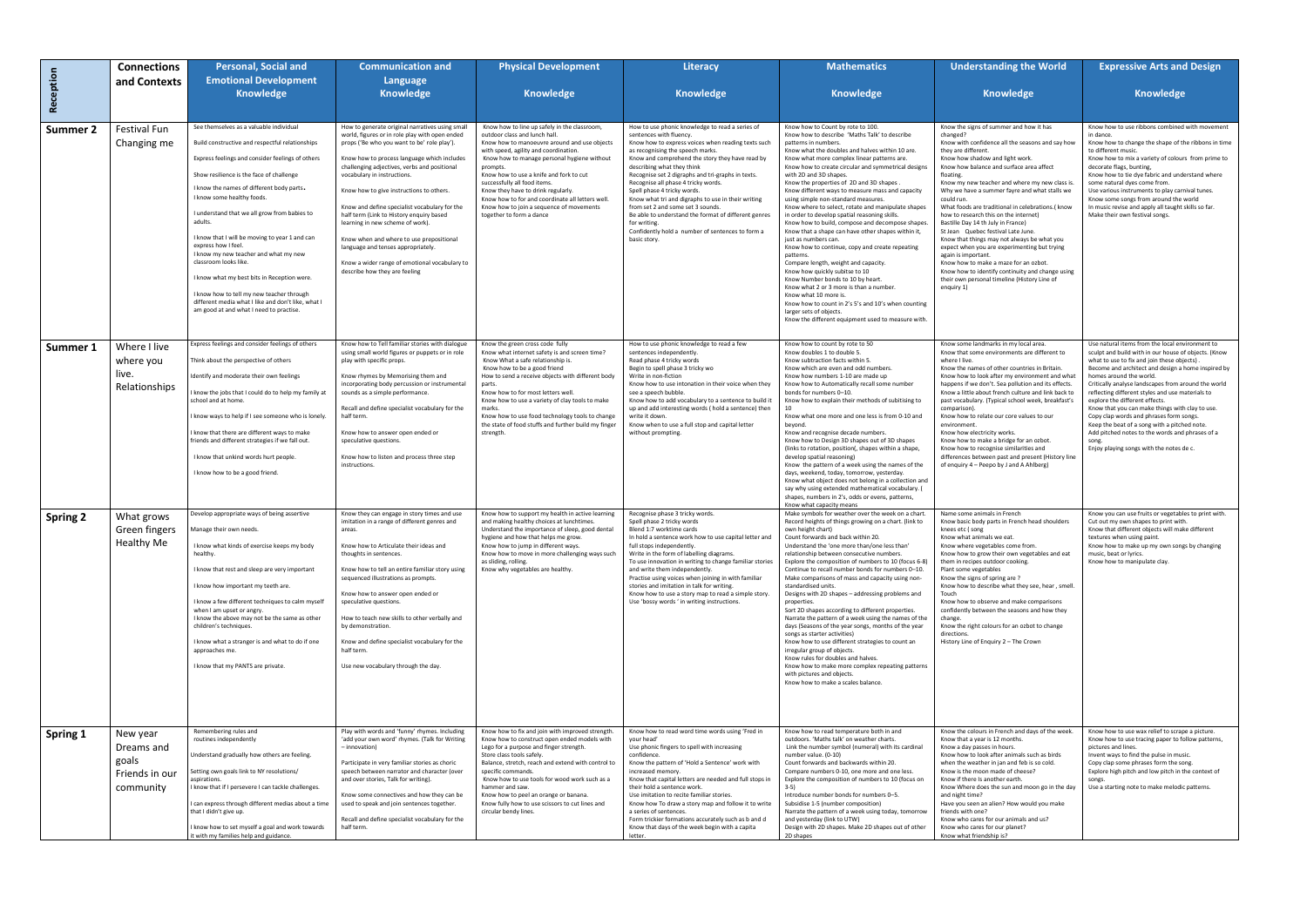|                 | <b>Connections</b>          | <b>Personal, Social and</b>                                                                                                                | <b>Communication and</b>                                                                                                        | <b>Physical Development</b>                                                                                                                          | Literacy                                                                                                                                                                                  | <b>Mathematics</b>                                                                                                                                                                                                                                                                                                                           | <b>Understanding the World</b>                                                                                                                                                                                                                                                                                                       | <b>Expressive Arts and Design</b>                                                                                                                      |
|-----------------|-----------------------------|--------------------------------------------------------------------------------------------------------------------------------------------|---------------------------------------------------------------------------------------------------------------------------------|------------------------------------------------------------------------------------------------------------------------------------------------------|-------------------------------------------------------------------------------------------------------------------------------------------------------------------------------------------|----------------------------------------------------------------------------------------------------------------------------------------------------------------------------------------------------------------------------------------------------------------------------------------------------------------------------------------------|--------------------------------------------------------------------------------------------------------------------------------------------------------------------------------------------------------------------------------------------------------------------------------------------------------------------------------------|--------------------------------------------------------------------------------------------------------------------------------------------------------|
| Reception       | and Contexts                | <b>Emotional Development</b><br><b>Knowledge</b>                                                                                           | Language<br><b>Knowledge</b>                                                                                                    | <b>Knowledge</b>                                                                                                                                     | <b>Knowledge</b>                                                                                                                                                                          | Knowledge                                                                                                                                                                                                                                                                                                                                    | <b>Knowledge</b>                                                                                                                                                                                                                                                                                                                     | <b>Knowledge</b>                                                                                                                                       |
|                 |                             |                                                                                                                                            |                                                                                                                                 |                                                                                                                                                      |                                                                                                                                                                                           |                                                                                                                                                                                                                                                                                                                                              |                                                                                                                                                                                                                                                                                                                                      |                                                                                                                                                        |
| Summer 2        | Festival Fun                | See themselves as a valuable individual                                                                                                    | How to generate original narratives using small<br>world, figures or in role play with open ended                               | Know how to line up safely in the classroom,<br>outdoor class and lunch hall.                                                                        | How to use phonic knowledge to read a series of<br>sentences with fluency                                                                                                                 | Know how to Count by rote to 100.<br>Know how to describe 'Maths Talk' to describe                                                                                                                                                                                                                                                           | Know the signs of summer and how it has<br>changed?                                                                                                                                                                                                                                                                                  | Know how to use ribbons combined with movement<br>in dance.                                                                                            |
|                 | Changing me                 | Build constructive and respectful relationships                                                                                            | props ('Be who you want to be' role play').                                                                                     | Know how to manoeuvre around and use objects<br>with speed, agility and coordination.                                                                | Know how to express voices when reading texts such<br>as recognising the speech marks.                                                                                                    | patterns in numbers<br>Know what the doubles and halves within 10 are.                                                                                                                                                                                                                                                                       | Know with confidence all the seasons and say how<br>they are different.                                                                                                                                                                                                                                                              | Know how to change the shape of the ribbons in time<br>to different music.                                                                             |
|                 |                             | Express feelings and consider feelings of others                                                                                           | Know how to process language which includes<br>challenging adjectives, verbs and positional                                     | Know how to manage personal hygiene without<br>prompts.                                                                                              | Know and comprehend the story they have read by<br>describing what they think                                                                                                             | Know what more complex linear patterns are.<br>Know how to create circular and symmetrical design                                                                                                                                                                                                                                            | Know how shadow and light work.<br>Know how balance and surface area affect                                                                                                                                                                                                                                                          | Know how to mix a variety of colours from prime to<br>decorate flags, bunting,                                                                         |
|                 |                             | Show resilience is the face of challenge                                                                                                   | vocabulary in instructions.                                                                                                     | Know how to use a knife and fork to cut<br>successfully all food items.                                                                              | Recognise set 2 digraphs and tri-graphs in texts.<br>Recognise all phase 4 tricky words.                                                                                                  | with 2D and 3D shapes<br>Know the properties of 2D and 3D shapes.                                                                                                                                                                                                                                                                            | floating.<br>Know my new teacher and where my new class is.                                                                                                                                                                                                                                                                          | Know how to tie dye fabric and understand where<br>some natural dyes come from.                                                                        |
|                 |                             | I know the names of different body parts.<br>I know some healthy foods.                                                                    | Know how to give instructions to others.                                                                                        | Know they have to drink regularly.<br>Know how to for and coordinate all letters well.                                                               | Spell phase 4 tricky words.<br>Know what tri and digraphs to use in their writing                                                                                                         | Know different ways to measure mass and capacity<br>using simple non-standard measures.                                                                                                                                                                                                                                                      | Why we have a summer fayre and what stalls we<br>could run.                                                                                                                                                                                                                                                                          | Use various instruments to play carnival tunes.<br>Know some songs from around the world                                                               |
|                 |                             | I understand that we all grow from babies to<br>adults.                                                                                    | Know and define specialist vocabulary for the<br>half term (Link to History enquiry based<br>learning in new scheme of work).   | Know how to join a sequence of movements<br>together to form a dance                                                                                 | from set 2 and some set 3 sounds.<br>Be able to understand the format of different genres<br>for writing.<br>Confidently hold a number of sentences to form a<br>basic story.             | Know where to select, rotate and manipulate shapes<br>in order to develop spatial reasoning skills.<br>Know how to build, compose and decompose shapes<br>Know that a shape can have other shapes within it,<br>just as numbers can.<br>Know how to continue, copy and create repeating<br>patterns.<br>Compare length, weight and capacity. | What foods are traditional in celebrations.( know<br>how to research this on the internet)<br>Bastille Day 14 th July in France)<br>St Jean Quebec festival Late June.<br>Know that things may not always be what you<br>expect when you are experimenting but trying<br>again is important.<br>Know how to make a maze for an ozbot | In music revise and apply all taught skills so far.<br>Make their own festival songs.                                                                  |
|                 |                             | I know that I will be moving to year 1 and can<br>express how I feel.<br>I know my new teacher and what my new<br>classroom looks like.    | Know when and where to use prepositional<br>language and tenses appropriately.<br>Know a wider range of emotional vocabulary to |                                                                                                                                                      |                                                                                                                                                                                           |                                                                                                                                                                                                                                                                                                                                              |                                                                                                                                                                                                                                                                                                                                      |                                                                                                                                                        |
|                 |                             | I know what my best bits in Reception were.                                                                                                | describe how they are feeling                                                                                                   |                                                                                                                                                      |                                                                                                                                                                                           | Know how quickly subitse to 10<br>Know Number bonds to 10 by heart.                                                                                                                                                                                                                                                                          | Know how to identify continuity and change using<br>their own personal timeline (History Line of                                                                                                                                                                                                                                     |                                                                                                                                                        |
|                 |                             | I know how to tell my new teacher through<br>different media what I like and don't like, what I<br>am good at and what I need to practise. |                                                                                                                                 |                                                                                                                                                      |                                                                                                                                                                                           | Know what 2 or 3 more is than a number.<br>Know what 10 more is.<br>Know how to count in 2's 5's and 10's when counting<br>larger sets of objects.<br>Know the different equipment used to measure with                                                                                                                                      | enquiry 1)                                                                                                                                                                                                                                                                                                                           |                                                                                                                                                        |
|                 |                             |                                                                                                                                            |                                                                                                                                 |                                                                                                                                                      |                                                                                                                                                                                           |                                                                                                                                                                                                                                                                                                                                              |                                                                                                                                                                                                                                                                                                                                      |                                                                                                                                                        |
| Summer 1        | Where I live<br>where you   | Express feelings and consider feelings of others<br>Think about the perspective of others                                                  | Know how to Tell familiar stories with dialogue<br>using small world figures or puppets or in role<br>play with specific props. | Know the green cross code fully<br>Know what internet safety is and screen time?<br>Know What a safe relationship is.                                | How to use phonic knowledge to read a few<br>sentences independently.<br>Read phase 4 tricky words                                                                                        | Know how to count by rote to 50<br>Know doubles 1 to double 5.<br>Know subtraction facts within 5.                                                                                                                                                                                                                                           | Know some landmarks in my local area.<br>Know that some environments are different to<br>where I live.                                                                                                                                                                                                                               | Use natural items from the local environment to<br>sculpt and build with in our house of objects. (Know<br>what to use to fix and join these objects). |
|                 | live.                       | Identify and moderate their own feelings                                                                                                   | Know rhymes by Memorising them and                                                                                              | Know how to be a good friend<br>How to send a receive objects with different body                                                                    | Begin to spell phase 3 tricky wo<br>Write in non-fiction                                                                                                                                  | Know which are even and odd numbers.<br>Know how numbers 1-10 are made up                                                                                                                                                                                                                                                                    | Know the names of other countries in Britain.<br>Know how to look after my environment and what                                                                                                                                                                                                                                      | Become and architect and design a home inspired by<br>homes around the world.                                                                          |
|                 | Relationships               | I know the jobs that I could do to help my family at                                                                                       | incorporating body percussion or instrumental<br>sounds as a simple performance.                                                | parts.<br>Know how to for most letters well.                                                                                                         | Know how to use intonation in their voice when they<br>see a speech bubble.                                                                                                               | Know how to Automatically recall some number<br>bonds for numbers 0-10.                                                                                                                                                                                                                                                                      | happens if we don't. Sea pollution and its effects.<br>Know a little about french culture and link back to                                                                                                                                                                                                                           | Critically analyse landscapes from around the world<br>reflecting different styles and use materials to                                                |
|                 |                             | school and at home.                                                                                                                        | Recall and define specialist vocabulary for the                                                                                 | Know how to use a variety of clay tools to make<br>marks.                                                                                            | Know how to add vocabulary to a sentence to build it<br>up and add interesting words (hold a sentence) then                                                                               | Know how to explain their methods of subitising to<br>10                                                                                                                                                                                                                                                                                     | past vocabulary. (Typical school week, breakfast's<br>comparison).                                                                                                                                                                                                                                                                   | explore the different effects.<br>Know that you can make things with clay to use.                                                                      |
|                 |                             | I know ways to help if I see someone who is lonely<br>I know that there are different ways to make                                         | half term.                                                                                                                      | Know how to use food technology tools to change<br>the state of food stuffs and further build my finger                                              | write it down.<br>Know when to use a full stop and capital letter                                                                                                                         | Know what one more and one less is from 0-10 and<br>beyond.                                                                                                                                                                                                                                                                                  | Know how to relate our core values to our<br>environment.                                                                                                                                                                                                                                                                            | Copy clap words and phrases form songs.<br>Keep the beat of a song with a pitched note.                                                                |
|                 |                             | friends and different strategies if we fall out.                                                                                           | Know how to answer open ended or<br>speculative questions.                                                                      | strength.                                                                                                                                            | without prompting.                                                                                                                                                                        | Know and recognise decade numbers.<br>Know how to Design 3D shapes out of 3D shapes<br>(links to rotation, position(, shapes within a shape,                                                                                                                                                                                                 | Know how electricity works.<br>Know how to make a bridge for an ozbot.<br>Know how to recognise similarities and                                                                                                                                                                                                                     | Add pitched notes to the words and phrases of a<br>song.<br>Enjoy playing songs with the notes de c.                                                   |
|                 |                             | I know that unkind words hurt people.                                                                                                      | Know how to listen and process three step<br>instructions                                                                       |                                                                                                                                                      |                                                                                                                                                                                           | develop spatial reasoning)<br>Know the pattern of a week using the names of the                                                                                                                                                                                                                                                              | differences between past and present (History line<br>of enquiry 4 - Peepo by J and A Ahlberg)                                                                                                                                                                                                                                       |                                                                                                                                                        |
|                 |                             | I know how to be a good friend.                                                                                                            |                                                                                                                                 |                                                                                                                                                      |                                                                                                                                                                                           | days, weekend, today, tomorrow, yesterday.<br>Know what object does not belong in a collection and<br>say why using extended mathematical vocabulary. (<br>shapes, numbers in 2's, odds or evens, patterns,                                                                                                                                  |                                                                                                                                                                                                                                                                                                                                      |                                                                                                                                                        |
|                 |                             | Develop appropriate ways of being assertive                                                                                                | Know they can engage in story times and use                                                                                     | Know how to support my health in active learning                                                                                                     | Recognise phase 3 tricky words.                                                                                                                                                           | Know what capacity means<br>Make symbols for weather over the week on a chart.                                                                                                                                                                                                                                                               | Name some animals in French                                                                                                                                                                                                                                                                                                          | Know you can use fruits or vegetables to print with.                                                                                                   |
| <b>Spring 2</b> | What grows<br>Green fingers | Manage their own needs.                                                                                                                    | imitation in a range of different genres and<br>areas.                                                                          | and making healthy choices at lunchtimes.<br>Understand the importance of sleep, good dental                                                         | Spell phase 2 tricky words<br>Blend 1:7 worktime cards                                                                                                                                    | Record heights of things growing on a chart. (link to<br>own height chart)                                                                                                                                                                                                                                                                   | Know basic body parts in French head shoulders<br>knees etc (song                                                                                                                                                                                                                                                                    | Cut out my own shapes to print with.<br>Know that different objects will make different                                                                |
|                 | <b>Healthy Me</b>           | I know what kinds of exercise keeps my body<br>healthy.                                                                                    | Know how to Articulate their ideas and<br>thoughts in sentences.                                                                | hygiene and how that helps me grow.<br>Know how to jump in different ways.<br>Know how to move in more challenging ways such<br>as sliding, rolling. | In hold a sentence work how to use capital letter and<br>full stops independently.<br>Write in the form of labelling diagrams.<br>To use innovation in writing to change familiar stories | Count forwards and back within 20.<br>Understand the 'one more than/one less than'<br>relationship between consecutive numbers.<br>Explore the composition of numbers to 10 (focus 6-8)                                                                                                                                                      | Know what animals we eat.<br>Know where vegetables come from.<br>Know how to grow their own vegetables and eat<br>them in recipes outdoor cooking.                                                                                                                                                                                   | textures when using paint.<br>Know how to make up my own songs by changing<br>music, beat or lyrics.<br>Know how to manipulate clay.                   |
|                 |                             | I know that rest and sleep are very important                                                                                              | Know how to tell an entire familiar story using<br>sequenced illustrations as prompts.                                          | Know why vegetables are healthy.                                                                                                                     | and write them independently.<br>Practise using voices when joining in with familiar                                                                                                      | Continue to recall number bonds for numbers 0-10.<br>Make comparisons of mass and capacity using non-                                                                                                                                                                                                                                        | Plant some vegetables<br>Know the signs of spring are?                                                                                                                                                                                                                                                                               |                                                                                                                                                        |
|                 |                             | I know how important my teeth are.                                                                                                         | Know how to answer open ended or                                                                                                |                                                                                                                                                      | stories and imitation in talk for writing.<br>Know how to use a story map to read a simple story.                                                                                         | standardised units.<br>Designs with 2D shapes - addressing problems and                                                                                                                                                                                                                                                                      | Know how to describe what they see, hear, smell.<br>Touch                                                                                                                                                                                                                                                                            |                                                                                                                                                        |
|                 |                             | I know a few different techniques to calm myself<br>when I am upset or angry.                                                              | speculative questions.                                                                                                          |                                                                                                                                                      | Use 'bossy words' in writing instructions.                                                                                                                                                | properties.<br>Sort 2D shapes according to different properties.                                                                                                                                                                                                                                                                             | Know how to observe and make comparisons<br>confidently between the seasons and how they                                                                                                                                                                                                                                             |                                                                                                                                                        |
|                 |                             | I know the above may not be the same as other<br>children's techniques.                                                                    | How to teach new skills to other verbally and<br>by demonstration.                                                              |                                                                                                                                                      |                                                                                                                                                                                           | Narrate the pattern of a week using the names of the<br>days (Seasons of the year songs, months of the year<br>songs as starter activities)                                                                                                                                                                                                  | change.<br>Know the right colours for an ozbot to change<br>directions.                                                                                                                                                                                                                                                              |                                                                                                                                                        |
|                 |                             | I know what a stranger is and what to do if one<br>approaches me.                                                                          | Know and define specialist vocabulary for the<br>half term.                                                                     |                                                                                                                                                      |                                                                                                                                                                                           | Know how to use different strategies to count an<br>irregular group of objects.                                                                                                                                                                                                                                                              | History Line of Enquiry 2 - The Crown                                                                                                                                                                                                                                                                                                |                                                                                                                                                        |
|                 |                             | I know that my PANTS are private.                                                                                                          | Use new vocabulary through the day.                                                                                             |                                                                                                                                                      |                                                                                                                                                                                           | Know rules for doubles and halves.<br>Know how to make more complex repeating patterns<br>with pictures and objects.                                                                                                                                                                                                                         |                                                                                                                                                                                                                                                                                                                                      |                                                                                                                                                        |
|                 |                             |                                                                                                                                            |                                                                                                                                 |                                                                                                                                                      |                                                                                                                                                                                           | Know how to make a scales balance.                                                                                                                                                                                                                                                                                                           |                                                                                                                                                                                                                                                                                                                                      |                                                                                                                                                        |
|                 |                             |                                                                                                                                            |                                                                                                                                 |                                                                                                                                                      |                                                                                                                                                                                           |                                                                                                                                                                                                                                                                                                                                              |                                                                                                                                                                                                                                                                                                                                      |                                                                                                                                                        |
|                 |                             |                                                                                                                                            |                                                                                                                                 |                                                                                                                                                      |                                                                                                                                                                                           |                                                                                                                                                                                                                                                                                                                                              |                                                                                                                                                                                                                                                                                                                                      |                                                                                                                                                        |
| <b>Spring 1</b> | New year<br>Dreams and      | Remembering rules and<br>routines independently                                                                                            | Play with words and 'funny' rhymes. Including<br>'add your own word' rhymes. (Talk for Writing<br>- innovation)                 | Know how to fix and join with improved strength.<br>Know how to construct open ended models with<br>Lego for a purpose and finger strength.          | Know how to read word time words using 'Fred in<br>your head'<br>Use phonic fingers to spell with increasing                                                                              | Know how to read temperature both in and<br>outdoors. 'Maths talk' on weather charts.<br>Link the number symbol (numeral) with its cardinal                                                                                                                                                                                                  | Know the colours in French and days of the week.<br>Know that a year is 12 months.<br>Know a day passes in hours.                                                                                                                                                                                                                    | Know how to use wax relief to scrape a picture.<br>Know how to use tracing paper to follow patterns,<br>pictures and lines.                            |
|                 | goals                       | Understand gradually how others are feeling.                                                                                               | Participate in very familiar stories as choric                                                                                  | Store class tools safely.<br>Balance, stretch, reach and extend with control to                                                                      | confidence.<br>Know the pattern of 'Hold a Sentence' work with                                                                                                                            | number value. (0-10)<br>Count forwards and backwards within 20.                                                                                                                                                                                                                                                                              | Know how to look after animals such as birds<br>when the weather in jan and feb is so cold.                                                                                                                                                                                                                                          | Invent ways to find the pulse in music.<br>Copy clap some phrases form the song.                                                                       |
|                 | Friends in our              | Setting own goals link to NY resolutions/<br>aspirations.                                                                                  | speech between narrator and character (over<br>and over stories, Talk for writing).                                             | specific commands.<br>Know how to use tools for wood work such as a                                                                                  | increased memory.<br>Know that capital letters are needed and full stops in                                                                                                               | Compare numbers 0-10, one more and one less.<br>Explore the composition of numbers to 10 (focus on                                                                                                                                                                                                                                           | Know is the moon made of cheese?<br>Know if there Is another earth.                                                                                                                                                                                                                                                                  | Explore high pitch and low pitch in the context of<br>songs.                                                                                           |
|                 | community                   | I know that if I persevere I can tackle challenges.                                                                                        | Know some connectives and how they can be                                                                                       | hammer and saw.<br>Know how to peel an orange or banana.                                                                                             | their hold a sentence work.<br>Use imitation to recite familiar stories.                                                                                                                  | $3-5)$<br>Introduce number bonds for numbers 0-5.                                                                                                                                                                                                                                                                                            | Know Where does the sun and moon go in the day<br>and night time?                                                                                                                                                                                                                                                                    | Use a starting note to make melodic patterns.                                                                                                          |
|                 |                             | I can express through different medias about a time<br>that I didn't give up.                                                              | used to speak and join sentences together.                                                                                      | Know fully how to use scissors to cut lines and<br>circular bendy lines.                                                                             | Know how To draw a story map and follow it to write<br>a series of sentences.                                                                                                             | Subsidise 1-5 (number composition)<br>Narrate the pattern of a week using today, tomorrow                                                                                                                                                                                                                                                    | Have you seen an alien? How would you make<br>friends with one?                                                                                                                                                                                                                                                                      |                                                                                                                                                        |
|                 |                             | I know how to set myself a goal and work towards<br>it with my families help and guidance.                                                 | Recall and define specialist vocabulary for the<br>half term.                                                                   |                                                                                                                                                      | Form trickier formations accurately such as b and d<br>Know that days of the week begin with a capita<br>letter.                                                                          | and yesterday (link to UTW)<br>Design with 2D shapes. Make 2D shapes out of other<br>2D shapes                                                                                                                                                                                                                                               | Know who cares for our animals and us?<br>Know who cares for our planet?<br>Know what friendship is?                                                                                                                                                                                                                                 |                                                                                                                                                        |